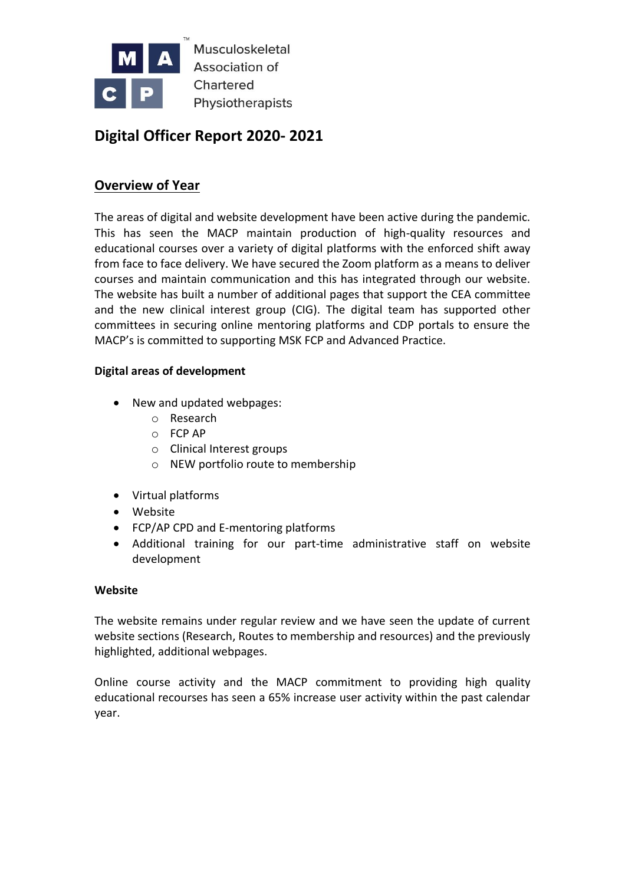

Musculoskeletal Association of Chartered Physiotherapists

# **Digital Officer Report 2020- 2021**

## **Overview of Year**

The areas of digital and website development have been active during the pandemic. This has seen the MACP maintain production of high-quality resources and educational courses over a variety of digital platforms with the enforced shift away from face to face delivery. We have secured the Zoom platform as a means to deliver courses and maintain communication and this has integrated through our website. The website has built a number of additional pages that support the CEA committee and the new clinical interest group (CIG). The digital team has supported other committees in securing online mentoring platforms and CDP portals to ensure the MACP's is committed to supporting MSK FCP and Advanced Practice.

#### **Digital areas of development**

- New and updated webpages:
	- o Research
	- o FCP AP
	- o Clinical Interest groups
	- o NEW portfolio route to membership
- Virtual platforms
- Website
- FCP/AP CPD and E-mentoring platforms
- Additional training for our part-time administrative staff on website development

#### **Website**

The website remains under regular review and we have seen the update of current website sections (Research, Routes to membership and resources) and the previously highlighted, additional webpages.

Online course activity and the MACP commitment to providing high quality educational recourses has seen a 65% increase user activity within the past calendar year.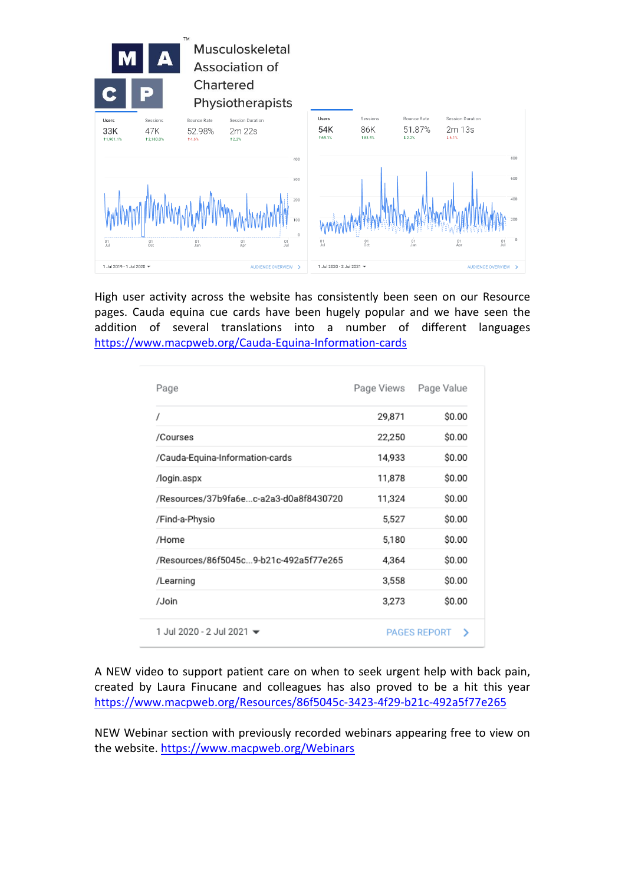

High user activity across the website has consistently been seen on our Resource pages. Cauda equina cue cards have been hugely popular and we have seen the addition of several translations into a number of different languages <https://www.macpweb.org/Cauda-Equina-Information-cards>

| Page                                   | Page Views | Page Value               |
|----------------------------------------|------------|--------------------------|
| 1                                      | 29,871     | \$0.00                   |
| /Courses                               | 22,250     | \$0.00                   |
| /Cauda-Equina-Information-cards        | 14,933     | \$0.00                   |
| /login.aspx                            | 11,878     | \$0.00                   |
| /Resources/37b9fa6ec-a2a3-d0a8f8430720 | 11,324     | \$0.00                   |
| /Find-a-Physio                         | 5,527      | \$0.00                   |
| /Home                                  | 5,180      | \$0.00                   |
| /Resources/86f5045c9-b21c-492a5f77e265 | 4,364      | \$0.00                   |
| /Learning                              | 3,558      | \$0.00                   |
| /Join                                  | 3,273      | \$0.00                   |
| 1 Jul 2020 - 2 Jul 2021 <del>↓</del>   |            | <b>PAGES REPORT</b><br>> |

A NEW video to support patient care on when to seek urgent help with back pain, created by Laura Finucane and colleagues has also proved to be a hit this year <https://www.macpweb.org/Resources/86f5045c-3423-4f29-b21c-492a5f77e265>

NEW Webinar section with previously recorded webinars appearing free to view on the website.<https://www.macpweb.org/Webinars>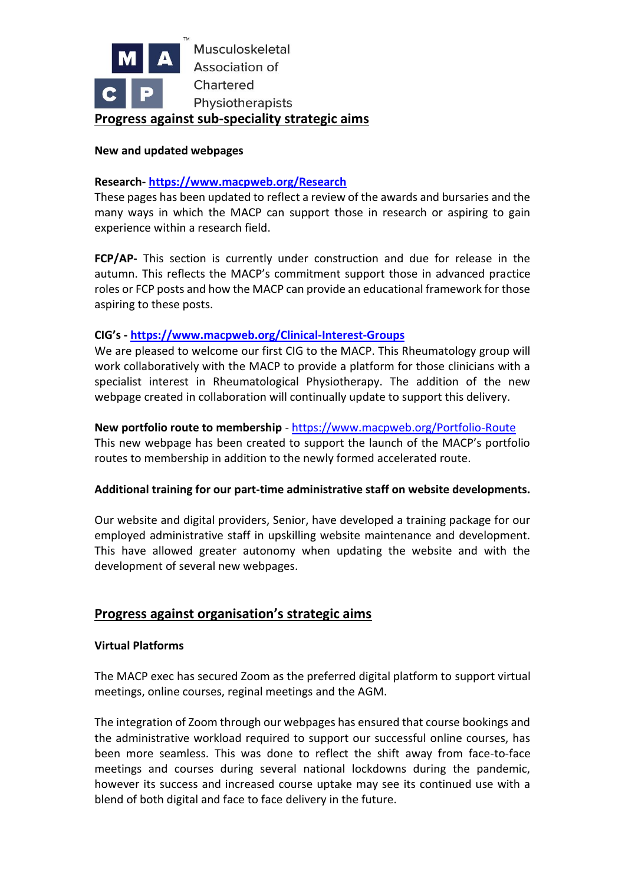

#### **New and updated webpages**

#### **Research- <https://www.macpweb.org/Research>**

These pages has been updated to reflect a review of the awards and bursaries and the many ways in which the MACP can support those in research or aspiring to gain experience within a research field.

**FCP/AP-** This section is currently under construction and due for release in the autumn. This reflects the MACP's commitment support those in advanced practice roles or FCP posts and how the MACP can provide an educational framework for those aspiring to these posts.

#### **CIG's - <https://www.macpweb.org/Clinical-Interest-Groups>**

We are pleased to welcome our first CIG to the MACP. This Rheumatology group will work collaboratively with the MACP to provide a platform for those clinicians with a specialist interest in Rheumatological Physiotherapy. The addition of the new webpage created in collaboration will continually update to support this delivery.

#### **New portfolio route to membership** - <https://www.macpweb.org/Portfolio-Route>

This new webpage has been created to support the launch of the MACP's portfolio routes to membership in addition to the newly formed accelerated route.

#### **Additional training for our part-time administrative staff on website developments.**

Our website and digital providers, Senior, have developed a training package for our employed administrative staff in upskilling website maintenance and development. This have allowed greater autonomy when updating the website and with the development of several new webpages.

#### **Progress against organisation's strategic aims**

#### **Virtual Platforms**

The MACP exec has secured Zoom as the preferred digital platform to support virtual meetings, online courses, reginal meetings and the AGM.

The integration of Zoom through our webpages has ensured that course bookings and the administrative workload required to support our successful online courses, has been more seamless. This was done to reflect the shift away from face-to-face meetings and courses during several national lockdowns during the pandemic, however its success and increased course uptake may see its continued use with a blend of both digital and face to face delivery in the future.